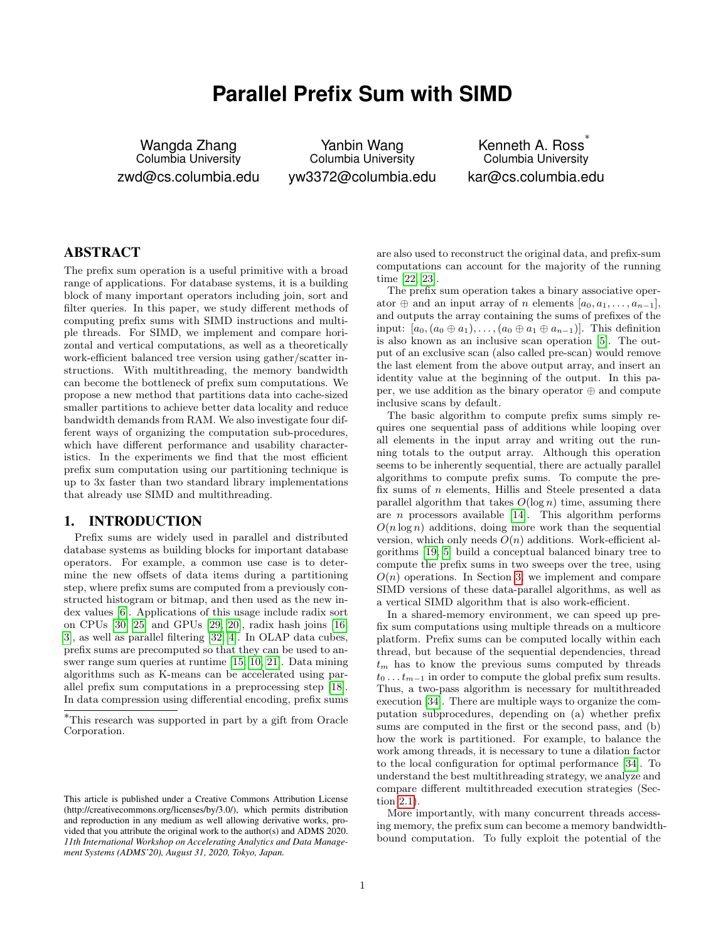# **Parallel Prefix Sum with SIMD**

Wangda Zhang Columbia University zwd@cs.columbia.edu

Yanbin Wang Columbia University yw3372@columbia.edu

Kenneth A. Ross ∗ Columbia University kar@cs.columbia.edu

# ABSTRACT

The prefix sum operation is a useful primitive with a broad range of applications. For database systems, it is a building block of many important operators including join, sort and filter queries. In this paper, we study different methods of computing prefix sums with SIMD instructions and multiple threads. For SIMD, we implement and compare horizontal and vertical computations, as well as a theoretically work-efficient balanced tree version using gather/scatter instructions. With multithreading, the memory bandwidth can become the bottleneck of prefix sum computations. We propose a new method that partitions data into cache-sized smaller partitions to achieve better data locality and reduce bandwidth demands from RAM. We also investigate four different ways of organizing the computation sub-procedures, which have different performance and usability characteristics. In the experiments we find that the most efficient prefix sum computation using our partitioning technique is up to 3x faster than two standard library implementations that already use SIMD and multithreading.

# <span id="page-0-0"></span>1. INTRODUCTION

Prefix sums are widely used in parallel and distributed database systems as building blocks for important database operators. For example, a common use case is to determine the new offsets of data items during a partitioning step, where prefix sums are computed from a previously constructed histogram or bitmap, and then used as the new index values [\[6\]](#page-9-0). Applications of this usage include radix sort on CPUs [\[30,](#page-9-1) [25\]](#page-9-2) and GPUs [\[29,](#page-9-3) [20\]](#page-9-4), radix hash joins [\[16,](#page-9-5) [3\]](#page-9-6), as well as parallel filtering [\[32,](#page-9-7) [4\]](#page-9-8). In OLAP data cubes, prefix sums are precomputed so that they can be used to answer range sum queries at runtime [\[15,](#page-9-9) [10,](#page-9-10) [21\]](#page-9-11). Data mining algorithms such as K-means can be accelerated using parallel prefix sum computations in a preprocessing step [\[18\]](#page-9-12). In data compression using differential encoding, prefix sums

are also used to reconstruct the original data, and prefix-sum computations can account for the majority of the running time [\[22,](#page-9-13) [23\]](#page-9-14).

The prefix sum operation takes a binary associative operator  $\oplus$  and an input array of n elements  $[a_0, a_1, \ldots, a_{n-1}]$ , and outputs the array containing the sums of prefixes of the input:  $[a_0, (a_0 \oplus a_1), \ldots, (a_0 \oplus a_1 \oplus a_{n-1})]$ . This definition is also known as an inclusive scan operation [\[5\]](#page-9-15). The output of an exclusive scan (also called pre-scan) would remove the last element from the above output array, and insert an identity value at the beginning of the output. In this paper, we use addition as the binary operator ⊕ and compute inclusive scans by default.

The basic algorithm to compute prefix sums simply requires one sequential pass of additions while looping over all elements in the input array and writing out the running totals to the output array. Although this operation seems to be inherently sequential, there are actually parallel algorithms to compute prefix sums. To compute the prefix sums of n elements, Hillis and Steele presented a data parallel algorithm that takes  $O(\log n)$  time, assuming there are  $n$  processors available [\[14\]](#page-9-16). This algorithm performs  $O(n \log n)$  additions, doing more work than the sequential version, which only needs  $O(n)$  additions. Work-efficient algorithms [\[19,](#page-9-17) [5\]](#page-9-15) build a conceptual balanced binary tree to compute the prefix sums in two sweeps over the tree, using  $O(n)$  operations. In Section [3,](#page-3-0) we implement and compare SIMD versions of these data-parallel algorithms, as well as a vertical SIMD algorithm that is also work-efficient.

In a shared-memory environment, we can speed up prefix sum computations using multiple threads on a multicore platform. Prefix sums can be computed locally within each thread, but because of the sequential dependencies, thread  $t_m$  has to know the previous sums computed by threads  $t_0 \dots t_{m-1}$  in order to compute the global prefix sum results. Thus, a two-pass algorithm is necessary for multithreaded execution [\[34\]](#page-10-0). There are multiple ways to organize the computation subprocedures, depending on (a) whether prefix sums are computed in the first or the second pass, and (b) how the work is partitioned. For example, to balance the work among threads, it is necessary to tune a dilation factor to the local configuration for optimal performance [\[34\]](#page-10-0). To understand the best multithreading strategy, we analyze and compare different multithreaded execution strategies (Section [2.1\)](#page-1-0).

More importantly, with many concurrent threads accessing memory, the prefix sum can become a memory bandwidthbound computation. To fully exploit the potential of the

<sup>∗</sup>This research was supported in part by a gift from Oracle Corporation.

This article is published under a Creative Commons Attribution License (http://creativecommons.org/licenses/by/3.0/), which permits distribution and reproduction in any medium as well allowing derivative works, provided that you attribute the original work to the author(s) and ADMS 2020. *11th International Workshop on Accelerating Analytics and Data Management Systems (ADMS'20), August 31, 2020, Tokyo, Japan.*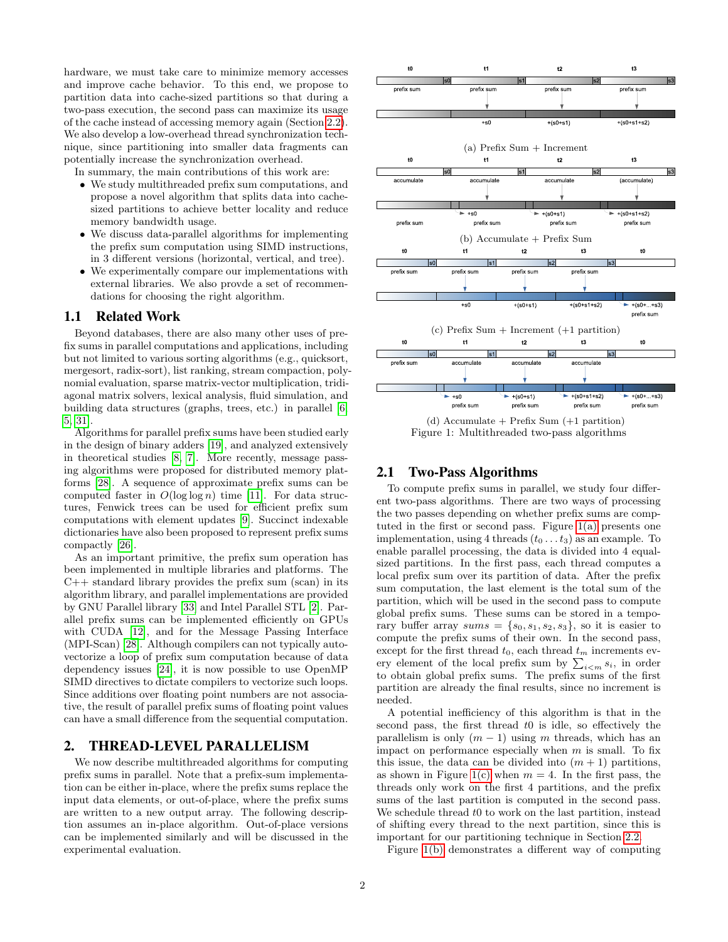hardware, we must take care to minimize memory accesses and improve cache behavior. To this end, we propose to partition data into cache-sized partitions so that during a two-pass execution, the second pass can maximize its usage of the cache instead of accessing memory again (Section [2.2\)](#page-2-0). We also develop a low-overhead thread synchronization technique, since partitioning into smaller data fragments can potentially increase the synchronization overhead.

In summary, the main contributions of this work are:

- We study multithreaded prefix sum computations, and propose a novel algorithm that splits data into cachesized partitions to achieve better locality and reduce memory bandwidth usage.
- We discuss data-parallel algorithms for implementing the prefix sum computation using SIMD instructions, in 3 different versions (horizontal, vertical, and tree).
- We experimentally compare our implementations with external libraries. We also provde a set of recommendations for choosing the right algorithm.

# 1.1 Related Work

Beyond databases, there are also many other uses of prefix sums in parallel computations and applications, including but not limited to various sorting algorithms (e.g., quicksort, mergesort, radix-sort), list ranking, stream compaction, polynomial evaluation, sparse matrix-vector multiplication, tridiagonal matrix solvers, lexical analysis, fluid simulation, and building data structures (graphs, trees, etc.) in parallel [\[6,](#page-9-0) [5,](#page-9-15) [31\]](#page-9-18).

Algorithms for parallel prefix sums have been studied early in the design of binary adders [\[19\]](#page-9-17), and analyzed extensively in theoretical studies [\[8,](#page-9-19) [7\]](#page-9-20). More recently, message passing algorithms were proposed for distributed memory platforms [\[28\]](#page-9-21). A sequence of approximate prefix sums can be computed faster in  $O(\log \log n)$  time [\[11\]](#page-9-22). For data structures, Fenwick trees can be used for efficient prefix sum computations with element updates [\[9\]](#page-9-23). Succinct indexable dictionaries have also been proposed to represent prefix sums compactly [\[26\]](#page-9-24).

As an important primitive, the prefix sum operation has been implemented in multiple libraries and platforms. The C++ standard library provides the prefix sum (scan) in its algorithm library, and parallel implementations are provided by GNU Parallel library [\[33\]](#page-9-25) and Intel Parallel STL [\[2\]](#page-9-26). Parallel prefix sums can be implemented efficiently on GPUs with CUDA [\[12\]](#page-9-27), and for the Message Passing Interface (MPI-Scan) [\[28\]](#page-9-21). Although compilers can not typically autovectorize a loop of prefix sum computation because of data dependency issues [\[24\]](#page-9-28), it is now possible to use OpenMP SIMD directives to dictate compilers to vectorize such loops. Since additions over floating point numbers are not associative, the result of parallel prefix sums of floating point values can have a small difference from the sequential computation.

# <span id="page-1-2"></span>2. THREAD-LEVEL PARALLELISM

We now describe multithreaded algorithms for computing prefix sums in parallel. Note that a prefix-sum implementation can be either in-place, where the prefix sums replace the input data elements, or out-of-place, where the prefix sums are written to a new output array. The following description assumes an in-place algorithm. Out-of-place versions can be implemented similarly and will be discussed in the experimental evaluation.

<span id="page-1-1"></span>

(d) Accumulate + Prefix Sum (+1 partition) Figure 1: Multithreaded two-pass algorithms

#### <span id="page-1-0"></span>2.1 Two-Pass Algorithms

To compute prefix sums in parallel, we study four different two-pass algorithms. There are two ways of processing the two passes depending on whether prefix sums are comptuted in the first or second pass. Figure [1\(a\)](#page-1-1) presents one implementation, using 4 threads  $(t_0 \ldots t_3)$  as an example. To enable parallel processing, the data is divided into 4 equalsized partitions. In the first pass, each thread computes a local prefix sum over its partition of data. After the prefix sum computation, the last element is the total sum of the partition, which will be used in the second pass to compute global prefix sums. These sums can be stored in a temporary buffer array  $sums = \{s_0, s_1, s_2, s_3\}$ , so it is easier to compute the prefix sums of their own. In the second pass, except for the first thread  $t_0$ , each thread  $t_m$  increments every element of the local prefix sum by  $\sum_{i \leq m} s_i$ , in order to obtain global prefix sums. The prefix sums of the first partition are already the final results, since no increment is needed.

A potential inefficiency of this algorithm is that in the second pass, the first thread t0 is idle, so effectively the parallelism is only  $(m - 1)$  using m threads, which has an impact on performance especially when  $m$  is small. To fix this issue, the data can be divided into  $(m + 1)$  partitions, as shown in Figure [1\(c\)](#page-1-1) when  $m = 4$ . In the first pass, the threads only work on the first 4 partitions, and the prefix sums of the last partition is computed in the second pass. We schedule thread  $t0$  to work on the last partition, instead of shifting every thread to the next partition, since this is important for our partitioning technique in Section [2.2.](#page-2-0)

Figure [1\(b\)](#page-1-1) demonstrates a different way of computing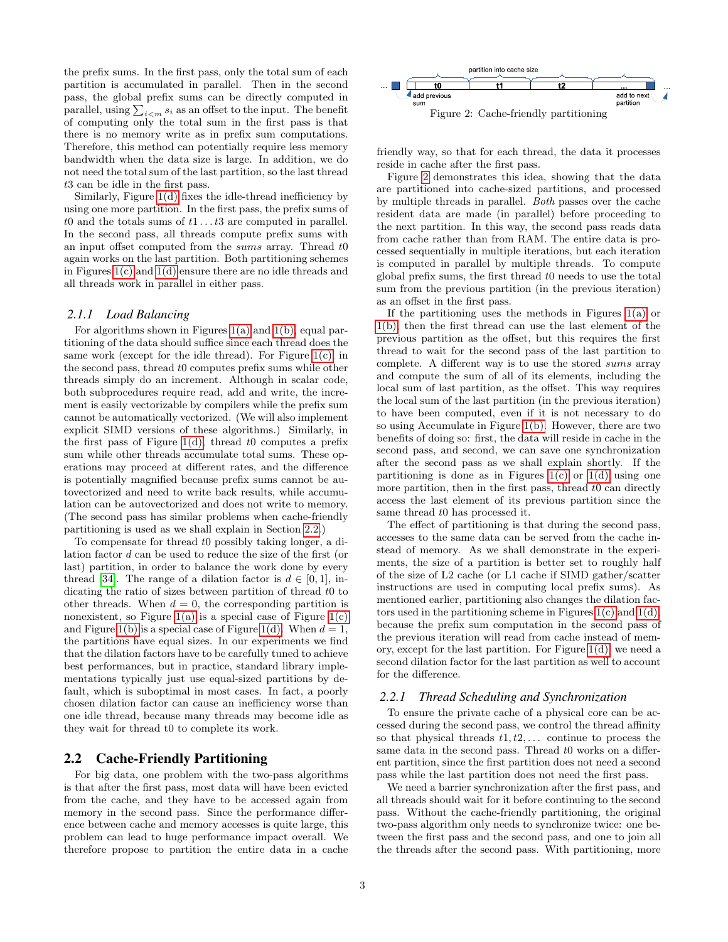the prefix sums. In the first pass, only the total sum of each partition is accumulated in parallel. Then in the second pass, the global prefix sums can be directly computed in parallel, using  $\sum_{i \leq m} s_i$  as an offset to the input. The benefit of computing only the total sum in the first pass is that there is no memory write as in prefix sum computations. Therefore, this method can potentially require less memory bandwidth when the data size is large. In addition, we do not need the total sum of the last partition, so the last thread t3 can be idle in the first pass.

Similarly, Figure [1\(d\)](#page-1-1) fixes the idle-thread inefficiency by using one more partition. In the first pass, the prefix sums of t0 and the totals sums of  $t1...t3$  are computed in parallel. In the second pass, all threads compute prefix sums with an input offset computed from the sums array. Thread t0 again works on the last partition. Both partitioning schemes in Figures [1\(c\)](#page-1-1) and [1\(d\)](#page-1-1) ensure there are no idle threads and all threads work in parallel in either pass.

## *2.1.1 Load Balancing*

For algorithms shown in Figures [1\(a\)](#page-1-1) and [1\(b\),](#page-1-1) equal partitioning of the data should suffice since each thread does the same work (except for the idle thread). For Figure  $1(c)$ , in the second pass, thread t0 computes prefix sums while other threads simply do an increment. Although in scalar code, both subprocedures require read, add and write, the increment is easily vectorizable by compilers while the prefix sum cannot be automatically vectorized. (We will also implement explicit SIMD versions of these algorithms.) Similarly, in the first pass of Figure [1\(d\),](#page-1-1) thread  $t0$  computes a prefix sum while other threads accumulate total sums. These operations may proceed at different rates, and the difference is potentially magnified because prefix sums cannot be autovectorized and need to write back results, while accumulation can be autovectorized and does not write to memory. (The second pass has similar problems when cache-friendly partitioning is used as we shall explain in Section [2.2.](#page-2-0))

To compensate for thread t0 possibly taking longer, a dilation factor d can be used to reduce the size of the first (or last) partition, in order to balance the work done by every thread [\[34\]](#page-10-0). The range of a dilation factor is  $d \in [0, 1]$ , indicating the ratio of sizes between partition of thread t0 to other threads. When  $d = 0$ , the corresponding partition is nonexistent, so Figure [1\(a\)](#page-1-1) is a special case of Figure [1\(c\)](#page-1-1) and Figure [1\(b\)](#page-1-1) is a special case of Figure [1\(d\).](#page-1-1) When  $d = 1$ , the partitions have equal sizes. In our experiments we find that the dilation factors have to be carefully tuned to achieve best performances, but in practice, standard library implementations typically just use equal-sized partitions by default, which is suboptimal in most cases. In fact, a poorly chosen dilation factor can cause an inefficiency worse than one idle thread, because many threads may become idle as they wait for thread t0 to complete its work.

# <span id="page-2-0"></span>2.2 Cache-Friendly Partitioning

For big data, one problem with the two-pass algorithms is that after the first pass, most data will have been evicted from the cache, and they have to be accessed again from memory in the second pass. Since the performance difference between cache and memory accesses is quite large, this problem can lead to huge performance impact overall. We therefore propose to partition the entire data in a cache

<span id="page-2-1"></span>

friendly way, so that for each thread, the data it processes reside in cache after the first pass.

Figure [2](#page-2-1) demonstrates this idea, showing that the data are partitioned into cache-sized partitions, and processed by multiple threads in parallel. Both passes over the cache resident data are made (in parallel) before proceeding to the next partition. In this way, the second pass reads data from cache rather than from RAM. The entire data is processed sequentially in multiple iterations, but each iteration is computed in parallel by multiple threads. To compute global prefix sums, the first thread t0 needs to use the total sum from the previous partition (in the previous iteration) as an offset in the first pass.

If the partitioning uses the methods in Figures  $1(a)$  or [1\(b\),](#page-1-1) then the first thread can use the last element of the previous partition as the offset, but this requires the first thread to wait for the second pass of the last partition to complete. A different way is to use the stored sums array and compute the sum of all of its elements, including the local sum of last partition, as the offset. This way requires the local sum of the last partition (in the previous iteration) to have been computed, even if it is not necessary to do so using Accumulate in Figure [1\(b\).](#page-1-1) However, there are two benefits of doing so: first, the data will reside in cache in the second pass, and second, we can save one synchronization after the second pass as we shall explain shortly. If the partitioning is done as in Figures  $1(c)$  or  $1(d)$  using one more partition, then in the first pass, thread  $t0$  can directly access the last element of its previous partition since the same thread  $t0$  has processed it.

The effect of partitioning is that during the second pass, accesses to the same data can be served from the cache instead of memory. As we shall demonstrate in the experiments, the size of a partition is better set to roughly half of the size of L2 cache (or L1 cache if SIMD gather/scatter instructions are used in computing local prefix sums). As mentioned earlier, partitioning also changes the dilation factors used in the partitioning scheme in Figures [1\(c\)](#page-1-1) and [1\(d\),](#page-1-1) because the prefix sum computation in the second pass of the previous iteration will read from cache instead of memory, except for the last partition. For Figure [1\(d\),](#page-1-1) we need a second dilation factor for the last partition as well to account for the difference.

#### *2.2.1 Thread Scheduling and Synchronization*

To ensure the private cache of a physical core can be accessed during the second pass, we control the thread affinity so that physical threads  $t_1, t_2, \ldots$  continue to process the same data in the second pass. Thread  $t0$  works on a different partition, since the first partition does not need a second pass while the last partition does not need the first pass.

We need a barrier synchronization after the first pass, and all threads should wait for it before continuing to the second pass. Without the cache-friendly partitioning, the original two-pass algorithm only needs to synchronize twice: one between the first pass and the second pass, and one to join all the threads after the second pass. With partitioning, more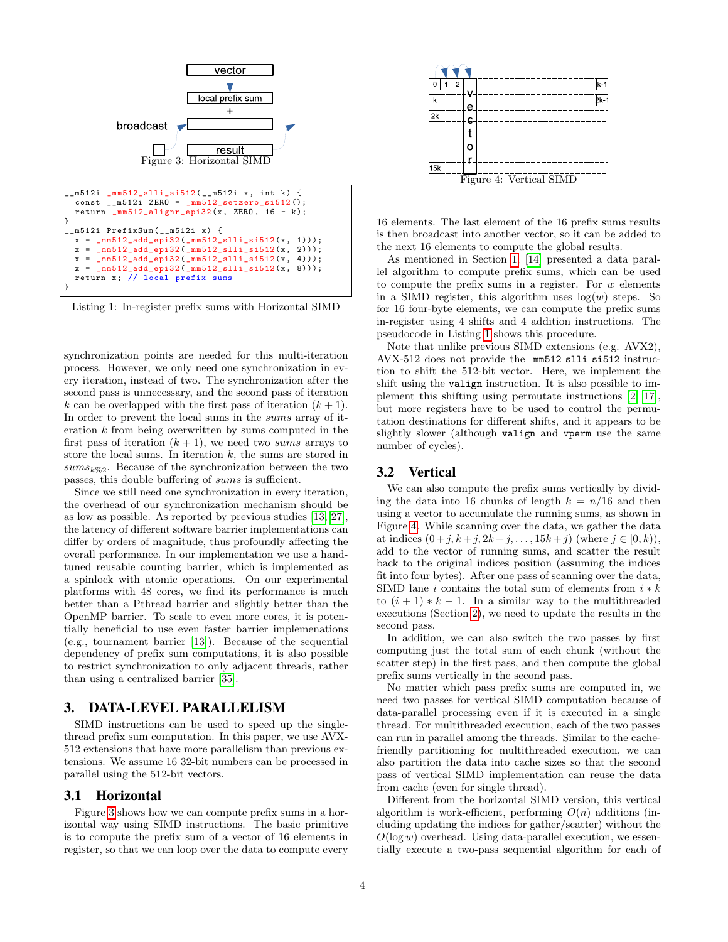<span id="page-3-1"></span>

<span id="page-3-2"></span>Listing 1: In-register prefix sums with Horizontal SIMD

synchronization points are needed for this multi-iteration process. However, we only need one synchronization in every iteration, instead of two. The synchronization after the second pass is unnecessary, and the second pass of iteration k can be overlapped with the first pass of iteration  $(k + 1)$ . In order to prevent the local sums in the sums array of iteration  $k$  from being overwritten by sums computed in the first pass of iteration  $(k + 1)$ , we need two sums arrays to store the local sums. In iteration  $k$ , the sums are stored in  $sums_k\%2$ . Because of the synchronization between the two passes, this double buffering of sums is sufficient.

Since we still need one synchronization in every iteration, the overhead of our synchronization mechanism should be as low as possible. As reported by previous studies [\[13,](#page-9-29) [27\]](#page-9-30), the latency of different software barrier implementations can differ by orders of magnitude, thus profoundly affecting the overall performance. In our implementation we use a handtuned reusable counting barrier, which is implemented as a spinlock with atomic operations. On our experimental platforms with 48 cores, we find its performance is much better than a Pthread barrier and slightly better than the OpenMP barrier. To scale to even more cores, it is potentially beneficial to use even faster barrier implemenations (e.g., tournament barrier [\[13\]](#page-9-29)). Because of the sequential dependency of prefix sum computations, it is also possible to restrict synchronization to only adjacent threads, rather than using a centralized barrier [\[35\]](#page-10-1).

# <span id="page-3-0"></span>3. DATA-LEVEL PARALLELISM

SIMD instructions can be used to speed up the singlethread prefix sum computation. In this paper, we use AVX-512 extensions that have more parallelism than previous extensions. We assume 16 32-bit numbers can be processed in parallel using the 512-bit vectors.

#### <span id="page-3-4"></span>3.1 Horizontal

Figure [3](#page-3-1) shows how we can compute prefix sums in a horizontal way using SIMD instructions. The basic primitive is to compute the prefix sum of a vector of 16 elements in register, so that we can loop over the data to compute every

<span id="page-3-3"></span>

16 elements. The last element of the 16 prefix sums results is then broadcast into another vector, so it can be added to the next 16 elements to compute the global results.

As mentioned in Section [1,](#page-0-0) [\[14\]](#page-9-16) presented a data parallel algorithm to compute prefix sums, which can be used to compute the prefix sums in a register. For  $w$  elements in a SIMD register, this algorithm uses  $log(w)$  steps. So for 16 four-byte elements, we can compute the prefix sums in-register using 4 shifts and 4 addition instructions. The pseudocode in Listing [1](#page-3-2) shows this procedure.

Note that unlike previous SIMD extensions (e.g. AVX2), AVX-512 does not provide the mm512 slli si512 instruction to shift the 512-bit vector. Here, we implement the shift using the valign instruction. It is also possible to implement this shifting using permutate instructions [\[2,](#page-9-26) [17\]](#page-9-31), but more registers have to be used to control the permutation destinations for different shifts, and it appears to be slightly slower (although valign and vperm use the same number of cycles).

## <span id="page-3-5"></span>3.2 Vertical

We can also compute the prefix sums vertically by dividing the data into 16 chunks of length  $k = n/16$  and then using a vector to accumulate the running sums, as shown in Figure [4.](#page-3-3) While scanning over the data, we gather the data at indices  $(0 + j, k + j, 2k + j, \ldots, 15k + j)$  (where  $j \in [0, k)$ ), add to the vector of running sums, and scatter the result back to the original indices position (assuming the indices fit into four bytes). After one pass of scanning over the data, SIMD lane  $i$  contains the total sum of elements from  $i \ast k$ to  $(i + 1) * k - 1$ . In a similar way to the multithreaded executions (Section [2\)](#page-1-2), we need to update the results in the second pass.

In addition, we can also switch the two passes by first computing just the total sum of each chunk (without the scatter step) in the first pass, and then compute the global prefix sums vertically in the second pass.

No matter which pass prefix sums are computed in, we need two passes for vertical SIMD computation because of data-parallel processing even if it is executed in a single thread. For multithreaded execution, each of the two passes can run in parallel among the threads. Similar to the cachefriendly partitioning for multithreaded execution, we can also partition the data into cache sizes so that the second pass of vertical SIMD implementation can reuse the data from cache (even for single thread).

Different from the horizontal SIMD version, this vertical algorithm is work-efficient, performing  $O(n)$  additions (including updating the indices for gather/scatter) without the  $O(\log w)$  overhead. Using data-parallel execution, we essentially execute a two-pass sequential algorithm for each of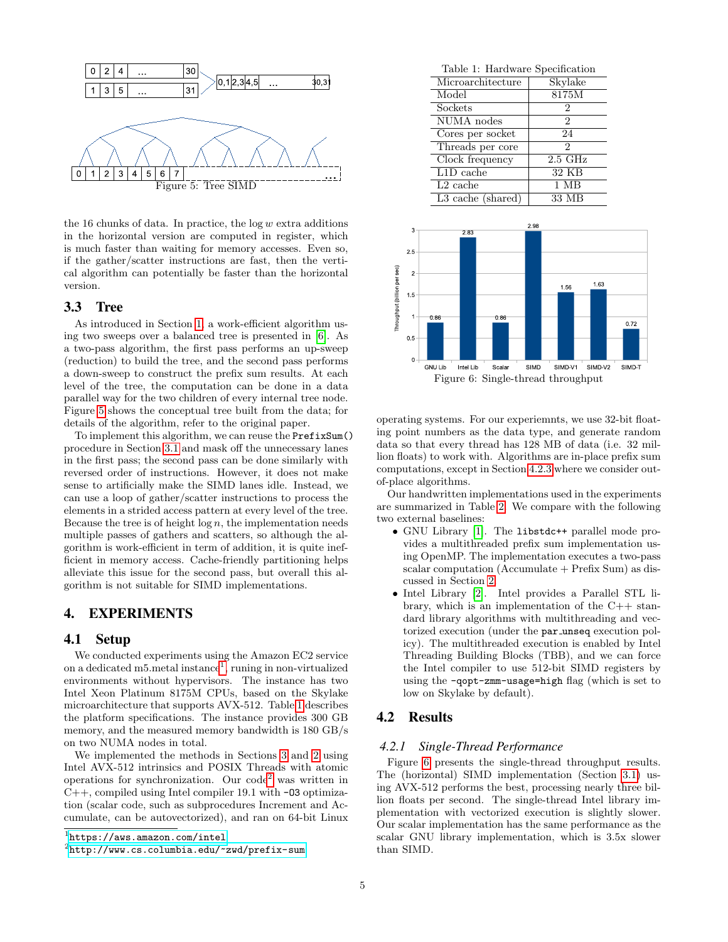<span id="page-4-0"></span>

the 16 chunks of data. In practice, the  $log w$  extra additions in the horizontal version are computed in register, which is much faster than waiting for memory accesses. Even so, if the gather/scatter instructions are fast, then the vertical algorithm can potentially be faster than the horizontal version.

# <span id="page-4-5"></span>3.3 Tree

As introduced in Section [1,](#page-0-0) a work-efficient algorithm using two sweeps over a balanced tree is presented in [\[6\]](#page-9-0). As a two-pass algorithm, the first pass performs an up-sweep (reduction) to build the tree, and the second pass performs a down-sweep to construct the prefix sum results. At each level of the tree, the computation can be done in a data parallel way for the two children of every internal tree node. Figure [5](#page-4-0) shows the conceptual tree built from the data; for details of the algorithm, refer to the original paper.

To implement this algorithm, we can reuse the PrefixSum() procedure in Section [3.1](#page-3-4) and mask off the unnecessary lanes in the first pass; the second pass can be done similarly with reversed order of instructions. However, it does not make sense to artificially make the SIMD lanes idle. Instead, we can use a loop of gather/scatter instructions to process the elements in a strided access pattern at every level of the tree. Because the tree is of height  $log n$ , the implementation needs multiple passes of gathers and scatters, so although the algorithm is work-efficient in term of addition, it is quite inefficient in memory access. Cache-friendly partitioning helps alleviate this issue for the second pass, but overall this algorithm is not suitable for SIMD implementations.

### 4. EXPERIMENTS

#### 4.1 Setup

We conducted experiments using the Amazon EC2 service on a dedicated m5. metal instance<sup>[1](#page-4-1)</sup>, runing in non-virtualized environments without hypervisors. The instance has two Intel Xeon Platinum 8175M CPUs, based on the Skylake microarchitecture that supports AVX-512. Table [1](#page-4-2) describes the platform specifications. The instance provides 300 GB memory, and the measured memory bandwidth is 180 GB/s on two NUMA nodes in total.

We implemented the methods in Sections [3](#page-3-0) and [2](#page-1-2) using Intel AVX-512 intrinsics and POSIX Threads with atomic operations for synchronization. Our code[2](#page-4-3) was written in  $C++$ , compiled using Intel compiler 19.1 with  $-03$  optimization (scalar code, such as subprocedures Increment and Accumulate, can be autovectorized), and ran on 64-bit Linux

<span id="page-4-2"></span>

| Table 1: Hardware Specification |                  |
|---------------------------------|------------------|
| Microarchitecture               | Skylake          |
| Model                           | 8175M            |
| Sockets                         | 2                |
| NUMA nodes                      | 2                |
| Cores per socket                | 24               |
| Threads per core                | 2                |
| Clock frequency                 | $2.5\text{ GHz}$ |
| $L1D$ cache                     | 32 KB            |
| $L2$ cache                      | 1 MB             |
| L3 cache (shared)               | 33 MB            |

<span id="page-4-4"></span>

operating systems. For our experiemnts, we use 32-bit floating point numbers as the data type, and generate random data so that every thread has 128 MB of data (i.e. 32 million floats) to work with. Algorithms are in-place prefix sum computations, except in Section [4.2.3](#page-5-0) where we consider outof-place algorithms.

Our handwritten implementations used in the experiments are summarized in Table [2.](#page-5-1) We compare with the following two external baselines:

- GNU Library [\[1\]](#page-9-32). The libstdc++ parallel mode provides a multithreaded prefix sum implementation using OpenMP. The implementation executes a two-pass scalar computation  $(Accumulate + Prefix Sum)$  as discussed in Section [2.](#page-1-2)
- Intel Library [\[2\]](#page-9-26). Intel provides a Parallel STL library, which is an implementation of the C++ standard library algorithms with multithreading and vectorized execution (under the par unseq execution policy). The multithreaded execution is enabled by Intel Threading Building Blocks (TBB), and we can force the Intel compiler to use 512-bit SIMD registers by using the -qopt-zmm-usage=high flag (which is set to low on Skylake by default).

# 4.2 Results

#### *4.2.1 Single-Thread Performance*

Figure [6](#page-4-4) presents the single-thread throughput results. The (horizontal) SIMD implementation (Section [3.1\)](#page-3-4) using AVX-512 performs the best, processing nearly three billion floats per second. The single-thread Intel library implementation with vectorized execution is slightly slower. Our scalar implementation has the same performance as the scalar GNU library implementation, which is 3.5x slower than SIMD.

<span id="page-4-1"></span><sup>1</sup> <https://aws.amazon.com/intel>

<span id="page-4-3"></span> $^{2}$ <http://www.cs.columbia.edu/~zwd/prefix-sum>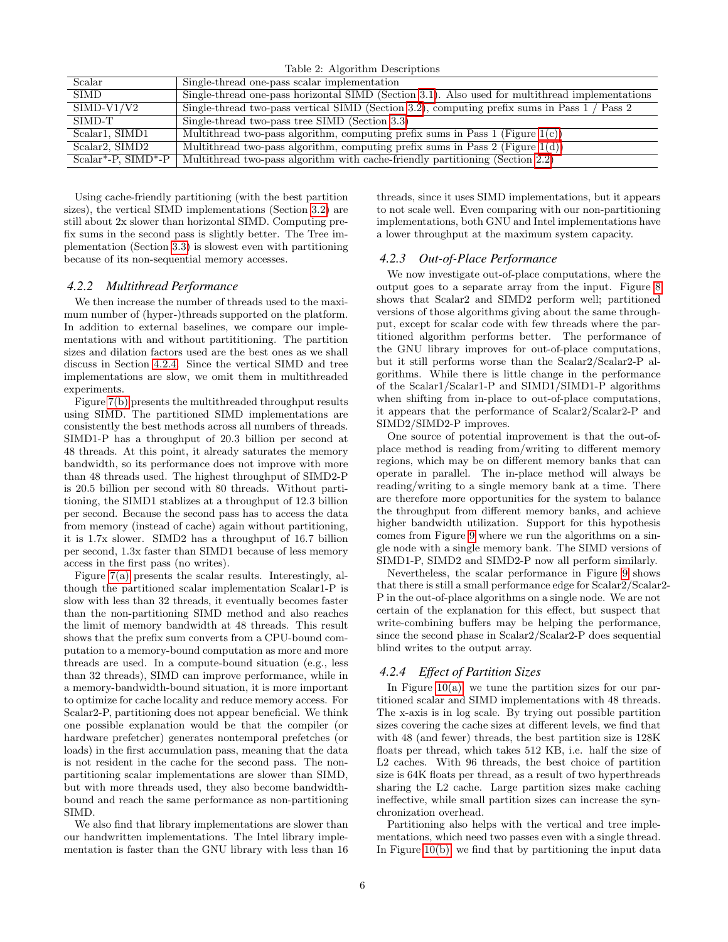<span id="page-5-1"></span>

| $\text{r}$ and $\mu$ . Theorienii Descriptions |                                                                                                 |
|------------------------------------------------|-------------------------------------------------------------------------------------------------|
| Scalar                                         | Single-thread one-pass scalar implementation                                                    |
| <b>SIMD</b>                                    | Single-thread one-pass horizontal SIMD (Section 3.1). Also used for multithread implementations |
| $SIMD-V1/V2$                                   | Single-thread two-pass vertical SIMD (Section 3.2), computing prefix sums in Pass 1 / Pass 2    |
| SIMD-T                                         | Single-thread two-pass tree SIMD (Section 3.3)                                                  |
| Scalar <sub>1</sub> , SIMD <sub>1</sub>        | Multithread two-pass algorithm, computing prefix sums in Pass $1$ (Figure $1(c)$ )              |
| Scalar2, SIMD2                                 | Multithread two-pass algorithm, computing prefix sums in Pass 2 (Figure $1(d)$ )                |
| $Scalar*-P, SIMD*-P$                           | Multithread two-pass algorithm with cache-friendly partitioning (Section 2.2)                   |
|                                                |                                                                                                 |

Table 2: Algorithm Descriptions

Using cache-friendly partitioning (with the best partition sizes), the vertical SIMD implementations (Section [3.2\)](#page-3-5) are still about 2x slower than horizontal SIMD. Computing prefix sums in the second pass is slightly better. The Tree implementation (Section [3.3\)](#page-4-5) is slowest even with partitioning because of its non-sequential memory accesses.

#### *4.2.2 Multithread Performance*

We then increase the number of threads used to the maximum number of (hyper-)threads supported on the platform. In addition to external baselines, we compare our implementations with and without partititioning. The partition sizes and dilation factors used are the best ones as we shall discuss in Section [4.2.4.](#page-5-2) Since the vertical SIMD and tree implementations are slow, we omit them in multithreaded experiments.

Figure [7\(b\)](#page-6-0) presents the multithreaded throughput results using SIMD. The partitioned SIMD implementations are consistently the best methods across all numbers of threads. SIMD1-P has a throughput of 20.3 billion per second at 48 threads. At this point, it already saturates the memory bandwidth, so its performance does not improve with more than 48 threads used. The highest throughput of SIMD2-P is 20.5 billion per second with 80 threads. Without partitioning, the SIMD1 stablizes at a throughput of 12.3 billion per second. Because the second pass has to access the data from memory (instead of cache) again without partitioning, it is 1.7x slower. SIMD2 has a throughput of 16.7 billion per second, 1.3x faster than SIMD1 because of less memory access in the first pass (no writes).

Figure [7\(a\)](#page-6-0) presents the scalar results. Interestingly, although the partitioned scalar implementation Scalar1-P is slow with less than 32 threads, it eventually becomes faster than the non-partitioning SIMD method and also reaches the limit of memory bandwidth at 48 threads. This result shows that the prefix sum converts from a CPU-bound computation to a memory-bound computation as more and more threads are used. In a compute-bound situation (e.g., less than 32 threads), SIMD can improve performance, while in a memory-bandwidth-bound situation, it is more important to optimize for cache locality and reduce memory access. For Scalar2-P, partitioning does not appear beneficial. We think one possible explanation would be that the compiler (or hardware prefetcher) generates nontemporal prefetches (or loads) in the first accumulation pass, meaning that the data is not resident in the cache for the second pass. The nonpartitioning scalar implementations are slower than SIMD, but with more threads used, they also become bandwidthbound and reach the same performance as non-partitioning SIMD.

We also find that library implementations are slower than our handwritten implementations. The Intel library implementation is faster than the GNU library with less than 16 threads, since it uses SIMD implementations, but it appears to not scale well. Even comparing with our non-partitioning implementations, both GNU and Intel implementations have a lower throughput at the maximum system capacity.

#### <span id="page-5-0"></span>*4.2.3 Out-of-Place Performance*

We now investigate out-of-place computations, where the output goes to a separate array from the input. Figure [8](#page-6-1) shows that Scalar2 and SIMD2 perform well; partitioned versions of those algorithms giving about the same throughput, except for scalar code with few threads where the partitioned algorithm performs better. The performance of the GNU library improves for out-of-place computations, but it still performs worse than the Scalar2/Scalar2-P algorithms. While there is little change in the performance of the Scalar1/Scalar1-P and SIMD1/SIMD1-P algorithms when shifting from in-place to out-of-place computations, it appears that the performance of Scalar2/Scalar2-P and SIMD2/SIMD2-P improves.

One source of potential improvement is that the out-ofplace method is reading from/writing to different memory regions, which may be on different memory banks that can operate in parallel. The in-place method will always be reading/writing to a single memory bank at a time. There are therefore more opportunities for the system to balance the throughput from different memory banks, and achieve higher bandwidth utilization. Support for this hypothesis comes from Figure [9](#page-6-2) where we run the algorithms on a single node with a single memory bank. The SIMD versions of SIMD1-P, SIMD2 and SIMD2-P now all perform similarly.

Nevertheless, the scalar performance in Figure [9](#page-6-2) shows that there is still a small performance edge for Scalar2/Scalar2- P in the out-of-place algorithms on a single node. We are not certain of the explanation for this effect, but suspect that write-combining buffers may be helping the performance, since the second phase in Scalar2/Scalar2-P does sequential blind writes to the output array.

#### <span id="page-5-2"></span>*4.2.4 Effect of Partition Sizes*

In Figure  $10(a)$ , we tune the partition sizes for our partitioned scalar and SIMD implementations with 48 threads. The x-axis is in log scale. By trying out possible partition sizes covering the cache sizes at different levels, we find that with 48 (and fewer) threads, the best partition size is 128K floats per thread, which takes 512 KB, i.e. half the size of L2 caches. With 96 threads, the best choice of partition size is 64K floats per thread, as a result of two hyperthreads sharing the L2 cache. Large partition sizes make caching ineffective, while small partition sizes can increase the synchronization overhead.

Partitioning also helps with the vertical and tree implementations, which need two passes even with a single thread. In Figure  $10(b)$ , we find that by partitioning the input data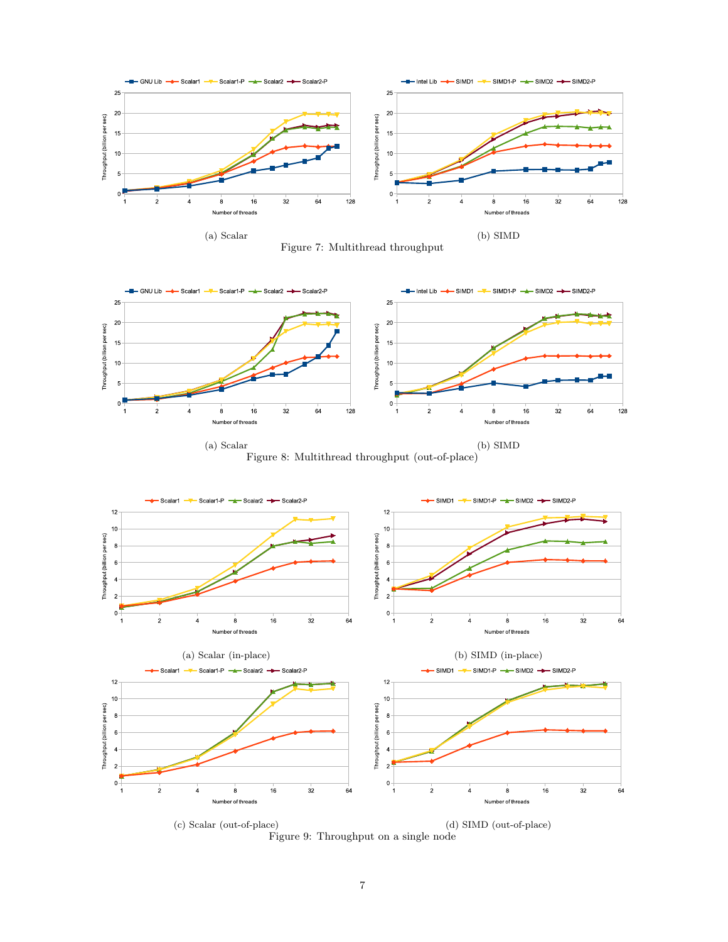<span id="page-6-0"></span>

<span id="page-6-1"></span>



<span id="page-6-2"></span>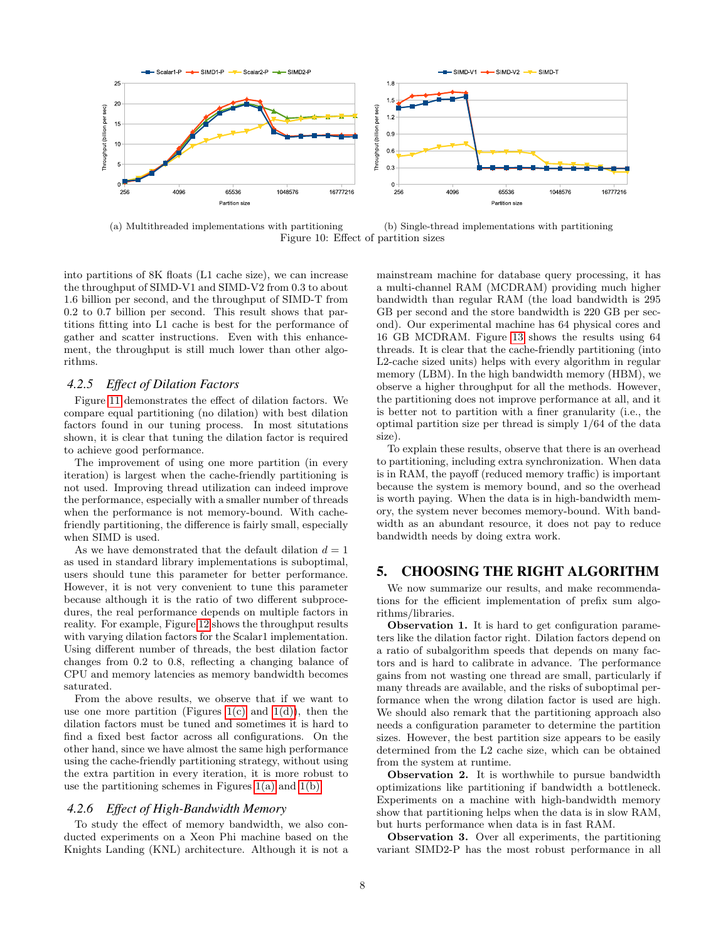<span id="page-7-0"></span>

(a) Multithreaded implementations with partitioning (b) Single-thread implementations with partitioning Figure 10: Effect of partition sizes

into partitions of 8K floats (L1 cache size), we can increase the throughput of SIMD-V1 and SIMD-V2 from 0.3 to about 1.6 billion per second, and the throughput of SIMD-T from 0.2 to 0.7 billion per second. This result shows that partitions fitting into L1 cache is best for the performance of gather and scatter instructions. Even with this enhancement, the throughput is still much lower than other algorithms.

# *4.2.5 Effect of Dilation Factors*

Figure [11](#page-8-0) demonstrates the effect of dilation factors. We compare equal partitioning (no dilation) with best dilation factors found in our tuning process. In most situtations shown, it is clear that tuning the dilation factor is required to achieve good performance.

The improvement of using one more partition (in every iteration) is largest when the cache-friendly partitioning is not used. Improving thread utilization can indeed improve the performance, especially with a smaller number of threads when the performance is not memory-bound. With cachefriendly partitioning, the difference is fairly small, especially when SIMD is used.

As we have demonstrated that the default dilation  $d = 1$ as used in standard library implementations is suboptimal, users should tune this parameter for better performance. However, it is not very convenient to tune this parameter because although it is the ratio of two different subprocedures, the real performance depends on multiple factors in reality. For example, Figure [12](#page-8-1) shows the throughput results with varying dilation factors for the Scalar1 implementation. Using different number of threads, the best dilation factor changes from 0.2 to 0.8, reflecting a changing balance of CPU and memory latencies as memory bandwidth becomes saturated.

From the above results, we observe that if we want to use one more partition (Figures [1\(c\)](#page-1-1) and [1\(d\)\)](#page-1-1), then the dilation factors must be tuned and sometimes it is hard to find a fixed best factor across all configurations. On the other hand, since we have almost the same high performance using the cache-friendly partitioning strategy, without using the extra partition in every iteration, it is more robust to use the partitioning schemes in Figures  $1(a)$  and  $1(b)$ .

#### *4.2.6 Effect of High-Bandwidth Memory*

To study the effect of memory bandwidth, we also conducted experiments on a Xeon Phi machine based on the Knights Landing (KNL) architecture. Although it is not a mainstream machine for database query processing, it has a multi-channel RAM (MCDRAM) providing much higher bandwidth than regular RAM (the load bandwidth is 295 GB per second and the store bandwidth is 220 GB per second). Our experimental machine has 64 physical cores and 16 GB MCDRAM. Figure [13](#page-8-2) shows the results using 64 threads. It is clear that the cache-friendly partitioning (into L2-cache sized units) helps with every algorithm in regular memory (LBM). In the high bandwidth memory (HBM), we observe a higher throughput for all the methods. However, the partitioning does not improve performance at all, and it is better not to partition with a finer granularity (i.e., the optimal partition size per thread is simply 1/64 of the data size).

To explain these results, observe that there is an overhead to partitioning, including extra synchronization. When data is in RAM, the payoff (reduced memory traffic) is important because the system is memory bound, and so the overhead is worth paying. When the data is in high-bandwidth memory, the system never becomes memory-bound. With bandwidth as an abundant resource, it does not pay to reduce bandwidth needs by doing extra work.

# 5. CHOOSING THE RIGHT ALGORITHM

We now summarize our results, and make recommendations for the efficient implementation of prefix sum algorithms/libraries.

Observation 1. It is hard to get configuration parameters like the dilation factor right. Dilation factors depend on a ratio of subalgorithm speeds that depends on many factors and is hard to calibrate in advance. The performance gains from not wasting one thread are small, particularly if many threads are available, and the risks of suboptimal performance when the wrong dilation factor is used are high. We should also remark that the partitioning approach also needs a configuration parameter to determine the partition sizes. However, the best partition size appears to be easily determined from the L2 cache size, which can be obtained from the system at runtime.

Observation 2. It is worthwhile to pursue bandwidth optimizations like partitioning if bandwidth a bottleneck. Experiments on a machine with high-bandwidth memory show that partitioning helps when the data is in slow RAM, but hurts performance when data is in fast RAM.

Observation 3. Over all experiments, the partitioning variant SIMD2-P has the most robust performance in all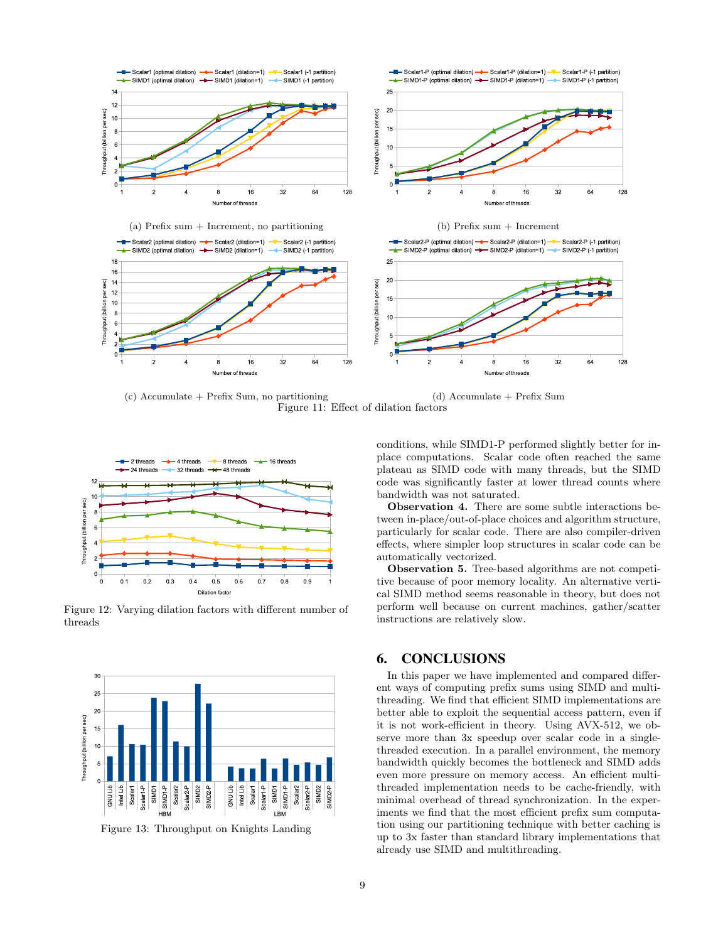<span id="page-8-0"></span>

(c) Accumulate + Prefix Sum, no partitioning (d) Accumulate + Prefix Sum Figure 11: Effect of dilation factors

<span id="page-8-1"></span>

Figure 12: Varying dilation factors with different number of threads

<span id="page-8-2"></span>

Figure 13: Throughput on Knights Landing

conditions, while SIMD1-P performed slightly better for inplace computations. Scalar code often reached the same plateau as SIMD code with many threads, but the SIMD code was significantly faster at lower thread counts where bandwidth was not saturated.

Observation 4. There are some subtle interactions between in-place/out-of-place choices and algorithm structure, particularly for scalar code. There are also compiler-driven effects, where simpler loop structures in scalar code can be automatically vectorized.

Observation 5. Tree-based algorithms are not competitive because of poor memory locality. An alternative vertical SIMD method seems reasonable in theory, but does not perform well because on current machines, gather/scatter instructions are relatively slow.

# 6. CONCLUSIONS

In this paper we have implemented and compared different ways of computing prefix sums using SIMD and multithreading. We find that efficient SIMD implementations are better able to exploit the sequential access pattern, even if it is not work-efficient in theory. Using AVX-512, we observe more than 3x speedup over scalar code in a singlethreaded execution. In a parallel environment, the memory bandwidth quickly becomes the bottleneck and SIMD adds even more pressure on memory access. An efficient multithreaded implementation needs to be cache-friendly, with minimal overhead of thread synchronization. In the experiments we find that the most efficient prefix sum computation using our partitioning technique with better caching is up to 3x faster than standard library implementations that already use SIMD and multithreading.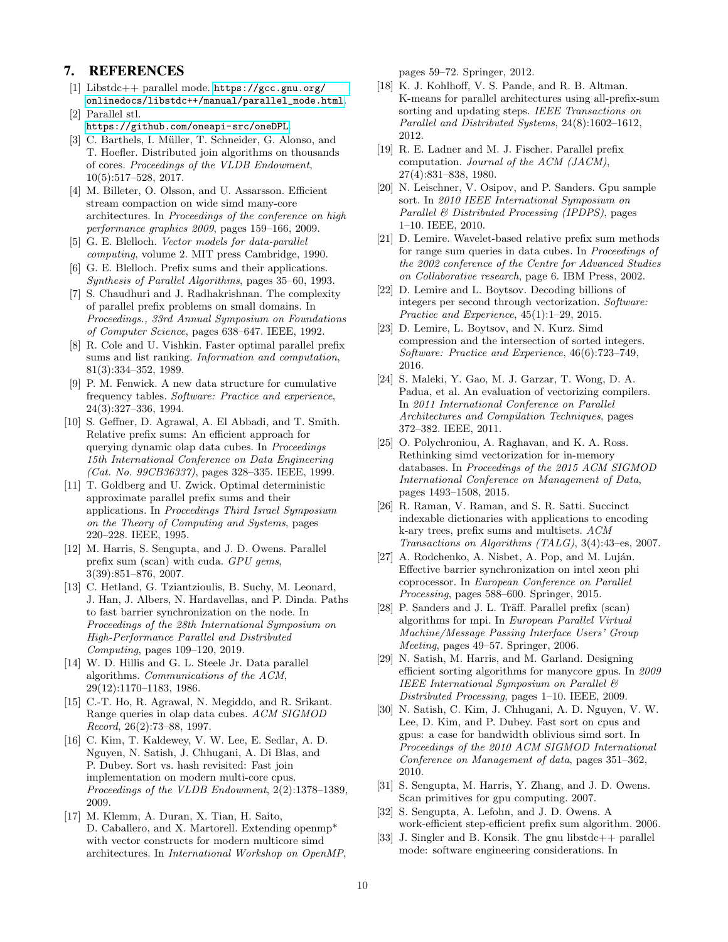# 7. REFERENCES

- <span id="page-9-32"></span>[1] Libstdc++ parallel mode. [https://gcc.gnu.org/](https://gcc.gnu.org/onlinedocs/libstdc++/manual/parallel_mode.html) [onlinedocs/libstdc++/manual/parallel\\_mode.html](https://gcc.gnu.org/onlinedocs/libstdc++/manual/parallel_mode.html).
- <span id="page-9-26"></span>[2] Parallel stl. <https://github.com/oneapi-src/oneDPL>.
- <span id="page-9-6"></span>[3] C. Barthels, I. Müller, T. Schneider, G. Alonso, and T. Hoefler. Distributed join algorithms on thousands of cores. Proceedings of the VLDB Endowment, 10(5):517–528, 2017.
- <span id="page-9-8"></span>[4] M. Billeter, O. Olsson, and U. Assarsson. Efficient stream compaction on wide simd many-core architectures. In Proceedings of the conference on high performance graphics 2009, pages 159–166, 2009.
- <span id="page-9-15"></span>[5] G. E. Blelloch. Vector models for data-parallel computing, volume 2. MIT press Cambridge, 1990.
- <span id="page-9-0"></span>[6] G. E. Blelloch. Prefix sums and their applications. Synthesis of Parallel Algorithms, pages 35–60, 1993.
- <span id="page-9-20"></span>[7] S. Chaudhuri and J. Radhakrishnan. The complexity of parallel prefix problems on small domains. In Proceedings., 33rd Annual Symposium on Foundations of Computer Science, pages 638–647. IEEE, 1992.
- <span id="page-9-19"></span>[8] R. Cole and U. Vishkin. Faster optimal parallel prefix sums and list ranking. Information and computation, 81(3):334–352, 1989.
- <span id="page-9-23"></span>[9] P. M. Fenwick. A new data structure for cumulative frequency tables. Software: Practice and experience, 24(3):327–336, 1994.
- <span id="page-9-10"></span>[10] S. Geffner, D. Agrawal, A. El Abbadi, and T. Smith. Relative prefix sums: An efficient approach for querying dynamic olap data cubes. In Proceedings 15th International Conference on Data Engineering (Cat. No. 99CB36337), pages 328–335. IEEE, 1999.
- <span id="page-9-22"></span>[11] T. Goldberg and U. Zwick. Optimal deterministic approximate parallel prefix sums and their applications. In Proceedings Third Israel Symposium on the Theory of Computing and Systems, pages 220–228. IEEE, 1995.
- <span id="page-9-27"></span>[12] M. Harris, S. Sengupta, and J. D. Owens. Parallel prefix sum (scan) with cuda. GPU gems, 3(39):851–876, 2007.
- <span id="page-9-29"></span>[13] C. Hetland, G. Tziantzioulis, B. Suchy, M. Leonard, J. Han, J. Albers, N. Hardavellas, and P. Dinda. Paths to fast barrier synchronization on the node. In Proceedings of the 28th International Symposium on High-Performance Parallel and Distributed Computing, pages 109–120, 2019.
- <span id="page-9-16"></span>[14] W. D. Hillis and G. L. Steele Jr. Data parallel algorithms. Communications of the ACM, 29(12):1170–1183, 1986.
- <span id="page-9-9"></span>[15] C.-T. Ho, R. Agrawal, N. Megiddo, and R. Srikant. Range queries in olap data cubes. ACM SIGMOD Record, 26(2):73–88, 1997.
- <span id="page-9-5"></span>[16] C. Kim, T. Kaldewey, V. W. Lee, E. Sedlar, A. D. Nguyen, N. Satish, J. Chhugani, A. Di Blas, and P. Dubey. Sort vs. hash revisited: Fast join implementation on modern multi-core cpus. Proceedings of the VLDB Endowment, 2(2):1378–1389, 2009.
- <span id="page-9-31"></span>[17] M. Klemm, A. Duran, X. Tian, H. Saito, D. Caballero, and X. Martorell. Extending openmp\* with vector constructs for modern multicore simd architectures. In International Workshop on OpenMP,

pages 59–72. Springer, 2012.

- <span id="page-9-12"></span>[18] K. J. Kohlhoff, V. S. Pande, and R. B. Altman. K-means for parallel architectures using all-prefix-sum sorting and updating steps. IEEE Transactions on Parallel and Distributed Systems, 24(8):1602–1612, 2012.
- <span id="page-9-17"></span>[19] R. E. Ladner and M. J. Fischer. Parallel prefix computation. Journal of the ACM (JACM), 27(4):831–838, 1980.
- <span id="page-9-4"></span>[20] N. Leischner, V. Osipov, and P. Sanders. Gpu sample sort. In 2010 IEEE International Symposium on Parallel & Distributed Processing (IPDPS), pages 1–10. IEEE, 2010.
- <span id="page-9-11"></span>[21] D. Lemire. Wavelet-based relative prefix sum methods for range sum queries in data cubes. In Proceedings of the 2002 conference of the Centre for Advanced Studies on Collaborative research, page 6. IBM Press, 2002.
- <span id="page-9-13"></span>[22] D. Lemire and L. Boytsov. Decoding billions of integers per second through vectorization. Software: Practice and Experience, 45(1):1–29, 2015.
- <span id="page-9-14"></span>[23] D. Lemire, L. Boytsov, and N. Kurz. Simd compression and the intersection of sorted integers. Software: Practice and Experience, 46(6):723–749, 2016.
- <span id="page-9-28"></span>[24] S. Maleki, Y. Gao, M. J. Garzar, T. Wong, D. A. Padua, et al. An evaluation of vectorizing compilers. In 2011 International Conference on Parallel Architectures and Compilation Techniques, pages 372–382. IEEE, 2011.
- <span id="page-9-2"></span>[25] O. Polychroniou, A. Raghavan, and K. A. Ross. Rethinking simd vectorization for in-memory databases. In Proceedings of the 2015 ACM SIGMOD International Conference on Management of Data, pages 1493–1508, 2015.
- <span id="page-9-24"></span>[26] R. Raman, V. Raman, and S. R. Satti. Succinct indexable dictionaries with applications to encoding k-ary trees, prefix sums and multisets. ACM Transactions on Algorithms (TALG), 3(4):43–es, 2007.
- <span id="page-9-30"></span>[27] A. Rodchenko, A. Nisbet, A. Pop, and M. Luján. Effective barrier synchronization on intel xeon phi coprocessor. In European Conference on Parallel Processing, pages 588–600. Springer, 2015.
- <span id="page-9-21"></span>[28] P. Sanders and J. L. Träff. Parallel prefix (scan) algorithms for mpi. In European Parallel Virtual Machine/Message Passing Interface Users' Group Meeting, pages 49–57. Springer, 2006.
- <span id="page-9-3"></span>[29] N. Satish, M. Harris, and M. Garland. Designing efficient sorting algorithms for manycore gpus. In 2009 IEEE International Symposium on Parallel & Distributed Processing, pages 1–10. IEEE, 2009.
- <span id="page-9-1"></span>[30] N. Satish, C. Kim, J. Chhugani, A. D. Nguyen, V. W. Lee, D. Kim, and P. Dubey. Fast sort on cpus and gpus: a case for bandwidth oblivious simd sort. In Proceedings of the 2010 ACM SIGMOD International Conference on Management of data, pages 351–362, 2010.
- <span id="page-9-18"></span>[31] S. Sengupta, M. Harris, Y. Zhang, and J. D. Owens. Scan primitives for gpu computing. 2007.
- <span id="page-9-7"></span>[32] S. Sengupta, A. Lefohn, and J. D. Owens. A work-efficient step-efficient prefix sum algorithm. 2006.
- <span id="page-9-25"></span>[33] J. Singler and B. Konsik. The gnu libstdc++ parallel mode: software engineering considerations. In